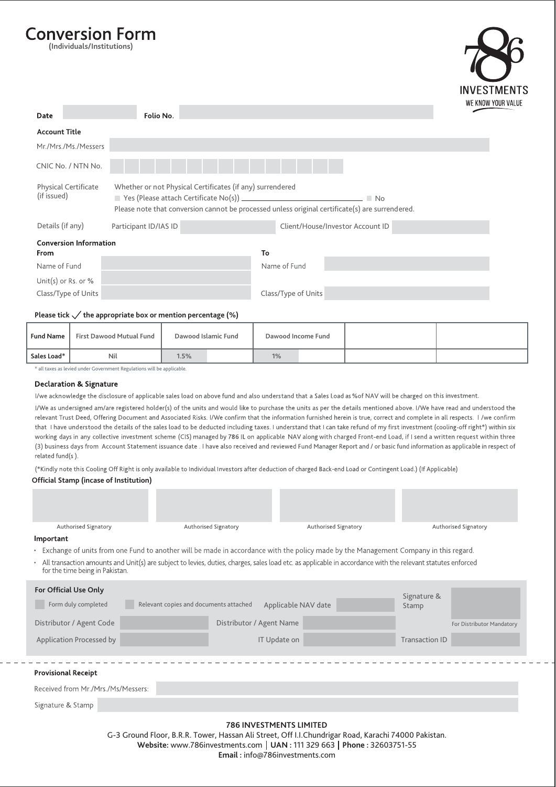# **Conversion Form**

**(Individuals/Institutions)**



| Date                                       | Folio No.             |                                                                                                                                                              |  |
|--------------------------------------------|-----------------------|--------------------------------------------------------------------------------------------------------------------------------------------------------------|--|
| <b>Account Title</b>                       |                       |                                                                                                                                                              |  |
| Mr./Mrs./Ms./Messers                       |                       |                                                                                                                                                              |  |
| CNIC No. / NTN No.                         |                       |                                                                                                                                                              |  |
| <b>Physical Certificate</b><br>(if issued) |                       | Whether or not Physical Certificates (if any) surrendered<br>Please note that conversion cannot be processed unless original certificate(s) are surrendered. |  |
| Details (if any)                           | Participant ID/IAS ID | Client/House/Investor Account ID                                                                                                                             |  |
| <b>Conversion Information</b><br>From      |                       | To                                                                                                                                                           |  |
| Name of Fund                               |                       | Name of Fund                                                                                                                                                 |  |
| Unit(s) or Rs. or $%$                      |                       |                                                                                                                                                              |  |
| Class/Type of Units                        |                       | Class/Type of Units                                                                                                                                          |  |

#### Please tick  $\checkmark$  the appropriate box or mention percentage (%)

| <b>Fund Name</b> | <b>First Dawood Mutual Fund</b> | Dawood Islamic Fund | Dawood Income Fund |  |
|------------------|---------------------------------|---------------------|--------------------|--|
| Sales Load*      | Nil                             | 1.5%                | 1%                 |  |

\* all taxes as levied under Government Regulations will be applicable.

#### **Declaration & Signature**

I/we acknowledge the disclosure of applicable sales load on above fund and also understand that a Sales Load as %of NAV will be charged on this investment.

I/We as undersigned am/are registered holder(s) of the units and would like to purchase the units as per the details mentioned above. I/We have read and understood the relevant Trust Deed, Offering Document and Associated Risks. I/We confirm that the information furnished herein is true, correct and complete in all respects. I /we confirm that I have understood the details of the sales load to be deducted including taxes. I understand that I can take refund of my first investment (cooling-off right\*) within six working days in any collective investment scheme (CIS) managed by 786 IL on applicable NAV along with charged Front-end Load, if I send a written request within three (3) business days from Account Statement issuance date . I have also received and reviewed Fund Manager Report and / or basic fund information as applicable in respect of related fund(s).

(\*Kindly note this Cooling Off Right is only available to Individual Investors after deduction of charged Back-end Load or Contingent Load.) (If Applicable)

## **Official Stamp (incase of Institution)**

| <b>Authorised Signatory</b> | Authorised Signatory | Authorised Signatory | Authorised Signatory |
|-----------------------------|----------------------|----------------------|----------------------|
| <b>Important</b>            |                      |                      |                      |

• Exchange of units from one Fund to another will be made in accordance with the policy made by the Management Company in this regard.

All transaction amounts and Unit(s) are subject to levies, duties, charges, sales load etc. as applicable in accordance with the relevant statutes enforced **A** for the time being in Pakistan.

| For Official Use Only<br>Form duly completed | Relevant copies and documents attached | Applicable NAV date      | Signature &<br>Stamp |                           |
|----------------------------------------------|----------------------------------------|--------------------------|----------------------|---------------------------|
| Distributor / Agent Code                     |                                        | Distributor / Agent Name |                      | For Distributor Mandatory |
| Application Processed by                     |                                        | IT Update on             | Transaction ID       |                           |
|                                              |                                        |                          |                      |                           |
|                                              |                                        |                          |                      |                           |

## **Provisional Receipt**

| Received from Mr./Mrs./Ms/Messers: |  |  |  |
|------------------------------------|--|--|--|
|                                    |  |  |  |
|                                    |  |  |  |

Signature & Stamp

## **786 INVESTMENTS LIMITED**

G-3 Ground Floor, B.R.R. Tower, Hassan Ali Street, Off I.I.Chundrigar Road, Karachi 74000 Pakistan. **Website:** www.786investments.com **UAN :** 111 329 663 **Phone :** 32603751-55 **Email :** info@786investments.com